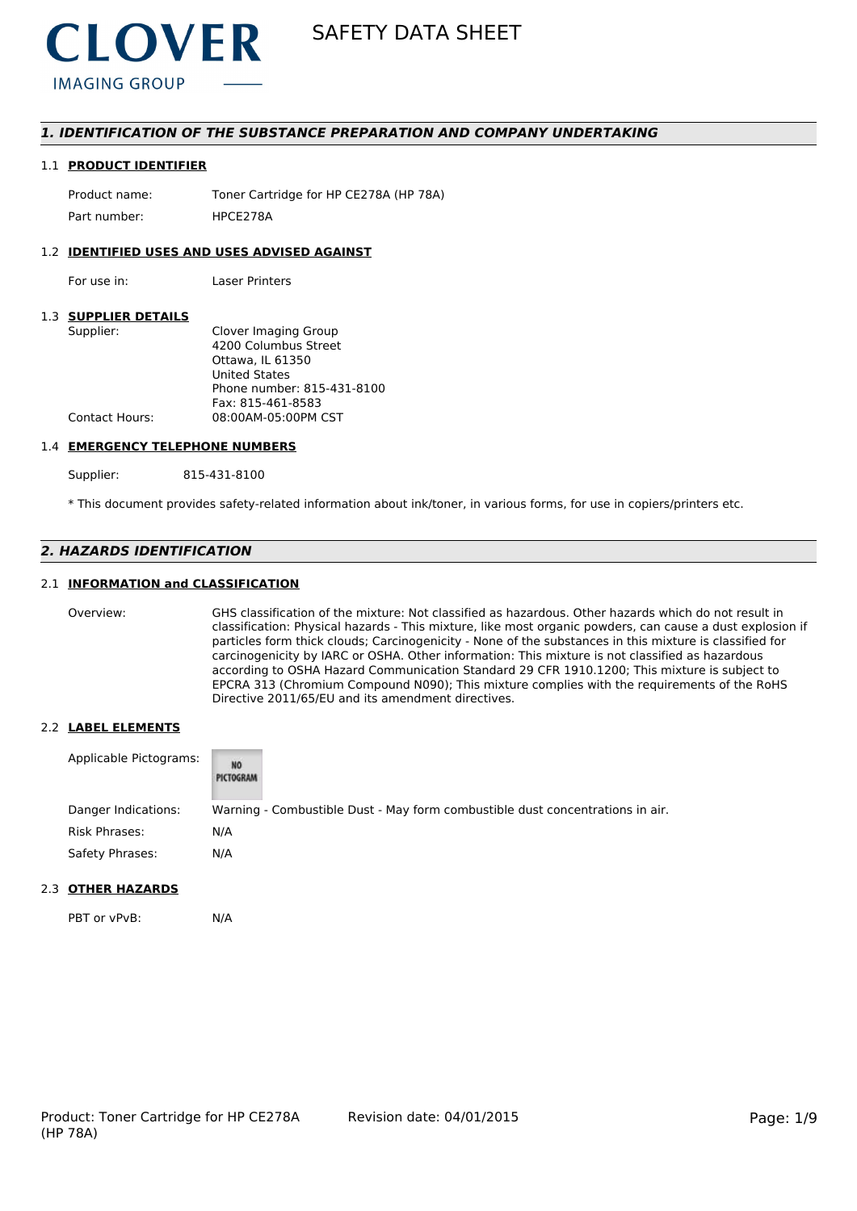

# *1. IDENTIFICATION OF THE SUBSTANCE PREPARATION AND COMPANY UNDERTAKING*

#### 1.1 **PRODUCT IDENTIFIER**

Product name: Toner Cartridge for HP CE278A (HP 78A) Part number: HPCE2784

### 1.2 **IDENTIFIED USES AND USES ADVISED AGAINST**

For use in: Laser Printers

## 1.3 **SUPPLIER DETAILS**

| Clover Imaging Group       |
|----------------------------|
| 4200 Columbus Street       |
| Ottawa. IL 61350           |
| <b>United States</b>       |
| Phone number: 815-431-8100 |
| Fax: 815-461-8583          |
| 08:00AM-05:00PM CST        |
|                            |

#### 1.4 **EMERGENCY TELEPHONE NUMBERS**

Supplier: 815-431-8100

\* This document provides safety-related information about ink/toner, in various forms, for use in copiers/printers etc.

# *2. HAZARDS IDENTIFICATION*

## 2.1 **INFORMATION and CLASSIFICATION**

Overview: GHS classification of the mixture: Not classified as hazardous. Other hazards which do not result in classification: Physical hazards - This mixture, like most organic powders, can cause a dust explosion if particles form thick clouds; Carcinogenicity - None of the substances in this mixture is classified for carcinogenicity by IARC or OSHA. Other information: This mixture is not classified as hazardous according to OSHA Hazard Communication Standard 29 CFR 1910.1200; This mixture is subject to EPCRA 313 (Chromium Compound N090); This mixture complies with the requirements of the RoHS Directive 2011/65/EU and its amendment directives.

#### 2.2 **LABEL ELEMENTS**

| Applicable Pictograms: | NO<br>PICTOGRAM |                                                                               |
|------------------------|-----------------|-------------------------------------------------------------------------------|
| Danger Indications:    |                 | Warning - Combustible Dust - May form combustible dust concentrations in air. |
| Risk Phrases:          | N/A             |                                                                               |
| Safety Phrases:        | N/A             |                                                                               |

# 2.3 **OTHER HAZARDS**

PBT or vPvB: N/A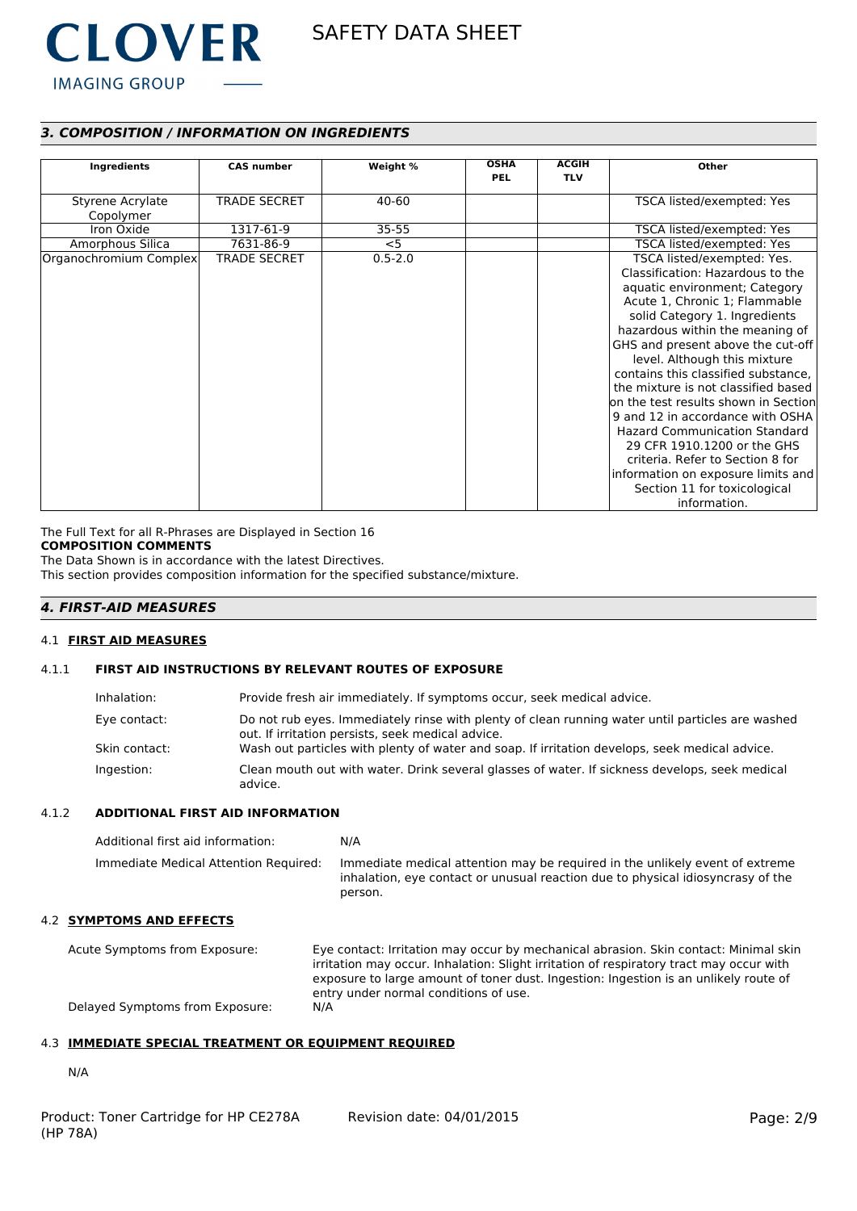

# *3. COMPOSITION / INFORMATION ON INGREDIENTS*

|                        |                     |             | <b>OSHA</b> | <b>ACGIH</b> |                                      |
|------------------------|---------------------|-------------|-------------|--------------|--------------------------------------|
| Ingredients            | <b>CAS number</b>   | Weight %    | <b>PEL</b>  | <b>TLV</b>   | Other                                |
|                        |                     |             |             |              |                                      |
| Styrene Acrylate       | <b>TRADE SECRET</b> | 40-60       |             |              | TSCA listed/exempted: Yes            |
| Copolymer              |                     |             |             |              |                                      |
| Iron Oxide             | 1317-61-9           | $35 - 55$   |             |              | TSCA listed/exempted: Yes            |
| Amorphous Silica       | 7631-86-9           | $<$ 5       |             |              | TSCA listed/exempted: Yes            |
| Organochromium Complex | <b>TRADE SECRET</b> | $0.5 - 2.0$ |             |              | TSCA listed/exempted: Yes.           |
|                        |                     |             |             |              | Classification: Hazardous to the     |
|                        |                     |             |             |              | aquatic environment; Category        |
|                        |                     |             |             |              | Acute 1, Chronic 1; Flammable        |
|                        |                     |             |             |              | solid Category 1. Ingredients        |
|                        |                     |             |             |              | hazardous within the meaning of      |
|                        |                     |             |             |              | GHS and present above the cut-off    |
|                        |                     |             |             |              | level. Although this mixture         |
|                        |                     |             |             |              | contains this classified substance,  |
|                        |                     |             |             |              | the mixture is not classified based  |
|                        |                     |             |             |              | on the test results shown in Section |
|                        |                     |             |             |              | 9 and 12 in accordance with OSHA     |
|                        |                     |             |             |              | <b>Hazard Communication Standard</b> |
|                        |                     |             |             |              | 29 CFR 1910.1200 or the GHS          |
|                        |                     |             |             |              | criteria. Refer to Section 8 for     |
|                        |                     |             |             |              | information on exposure limits and   |
|                        |                     |             |             |              | Section 11 for toxicological         |
|                        |                     |             |             |              | information.                         |

The Full Text for all R-Phrases are Displayed in Section 16

# **COMPOSITION COMMENTS**

The Data Shown is in accordance with the latest Directives.

This section provides composition information for the specified substance/mixture.

# *4. FIRST-AID MEASURES*

#### 4.1 **FIRST AID MEASURES**

## 4.1.1 **FIRST AID INSTRUCTIONS BY RELEVANT ROUTES OF EXPOSURE**

| Inhalation:   | Provide fresh air immediately. If symptoms occur, seek medical advice.                                                                                |
|---------------|-------------------------------------------------------------------------------------------------------------------------------------------------------|
| Eye contact:  | Do not rub eyes. Immediately rinse with plenty of clean running water until particles are washed<br>out. If irritation persists, seek medical advice. |
| Skin contact: | Wash out particles with plenty of water and soap. If irritation develops, seek medical advice.                                                        |
| Ingestion:    | Clean mouth out with water. Drink several glasses of water. If sickness develops, seek medical<br>advice.                                             |

### 4.1.2 **ADDITIONAL FIRST AID INFORMATION**

| Additional first aid information:     | N/A                                                                                                                                                                        |
|---------------------------------------|----------------------------------------------------------------------------------------------------------------------------------------------------------------------------|
| Immediate Medical Attention Required: | Immediate medical attention may be required in the unlikely event of extreme<br>inhalation, eye contact or unusual reaction due to physical idiosyncrasy of the<br>person. |

# 4.2 **SYMPTOMS AND EFFECTS**

Acute Symptoms from Exposure: Eye contact: Irritation may occur by mechanical abrasion. Skin contact: Minimal skin irritation may occur. Inhalation: Slight irritation of respiratory tract may occur with exposure to large amount of toner dust. Ingestion: Ingestion is an unlikely route of entry under normal conditions of use. Delayed Symptoms from Exposure: N/A

# 4.3 **IMMEDIATE SPECIAL TREATMENT OR EQUIPMENT REQUIRED**

N/A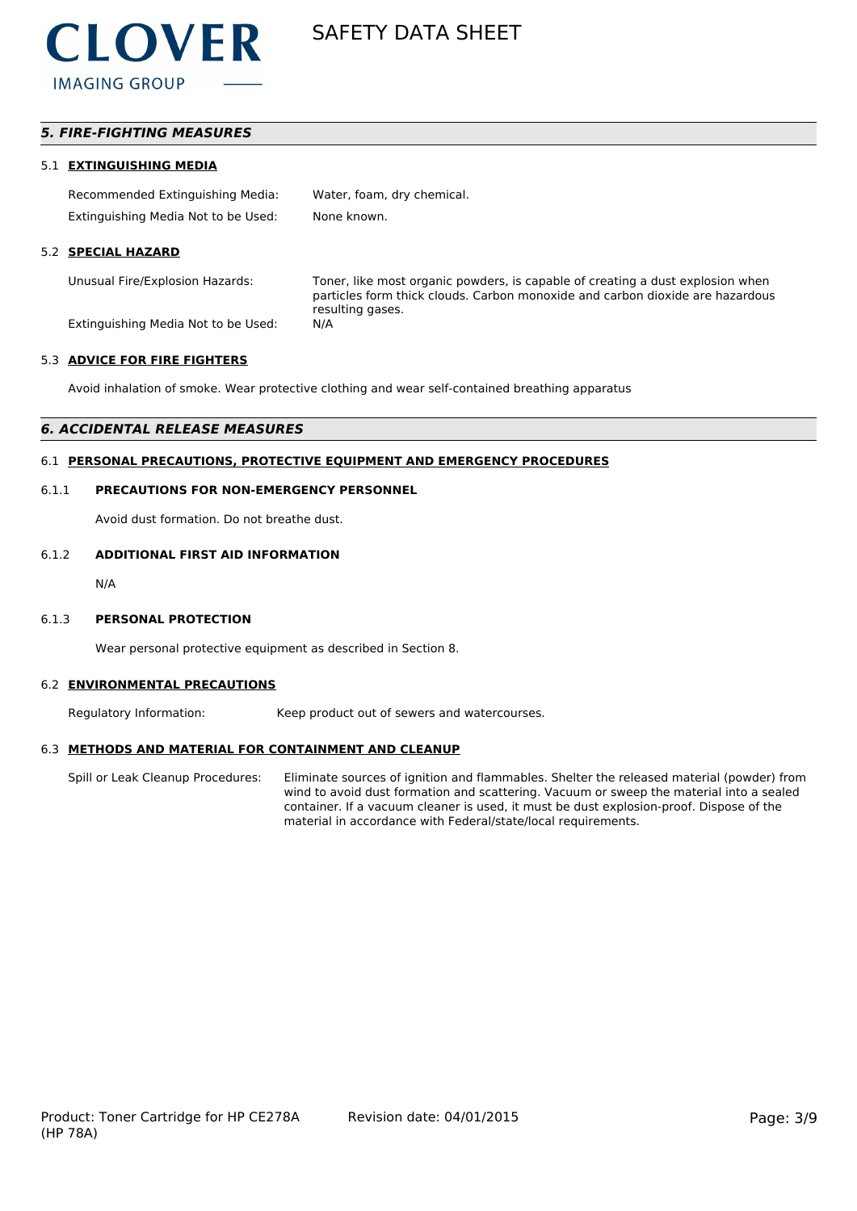

# *5. FIRE-FIGHTING MEASURES*

#### 5.1 **EXTINGUISHING MEDIA**

| Recommended Extinguishing Media:    | Water, foam, dry chemical. |
|-------------------------------------|----------------------------|
| Extinguishing Media Not to be Used: | None known.                |

#### 5.2 **SPECIAL HAZARD**

Unusual Fire/Explosion Hazards: Toner, like most organic powders, is capable of creating a dust explosion when particles form thick clouds. Carbon monoxide and carbon dioxide are hazardous resulting gases.

Extinguishing Media Not to be Used: N/A

#### 5.3 **ADVICE FOR FIRE FIGHTERS**

Avoid inhalation of smoke. Wear protective clothing and wear self-contained breathing apparatus

### *6. ACCIDENTAL RELEASE MEASURES*

# 6.1 **PERSONAL PRECAUTIONS, PROTECTIVE EQUIPMENT AND EMERGENCY PROCEDURES**

#### 6.1.1 **PRECAUTIONS FOR NON-EMERGENCY PERSONNEL**

Avoid dust formation. Do not breathe dust.

#### 6.1.2 **ADDITIONAL FIRST AID INFORMATION**

N/A

#### 6.1.3 **PERSONAL PROTECTION**

Wear personal protective equipment as described in Section 8.

#### 6.2 **ENVIRONMENTAL PRECAUTIONS**

Regulatory Information: Keep product out of sewers and watercourses.

#### 6.3 **METHODS AND MATERIAL FOR CONTAINMENT AND CLEANUP**

Spill or Leak Cleanup Procedures: Eliminate sources of ignition and flammables. Shelter the released material (powder) from wind to avoid dust formation and scattering. Vacuum or sweep the material into a sealed container. If a vacuum cleaner is used, it must be dust explosion-proof. Dispose of the material in accordance with Federal/state/local requirements.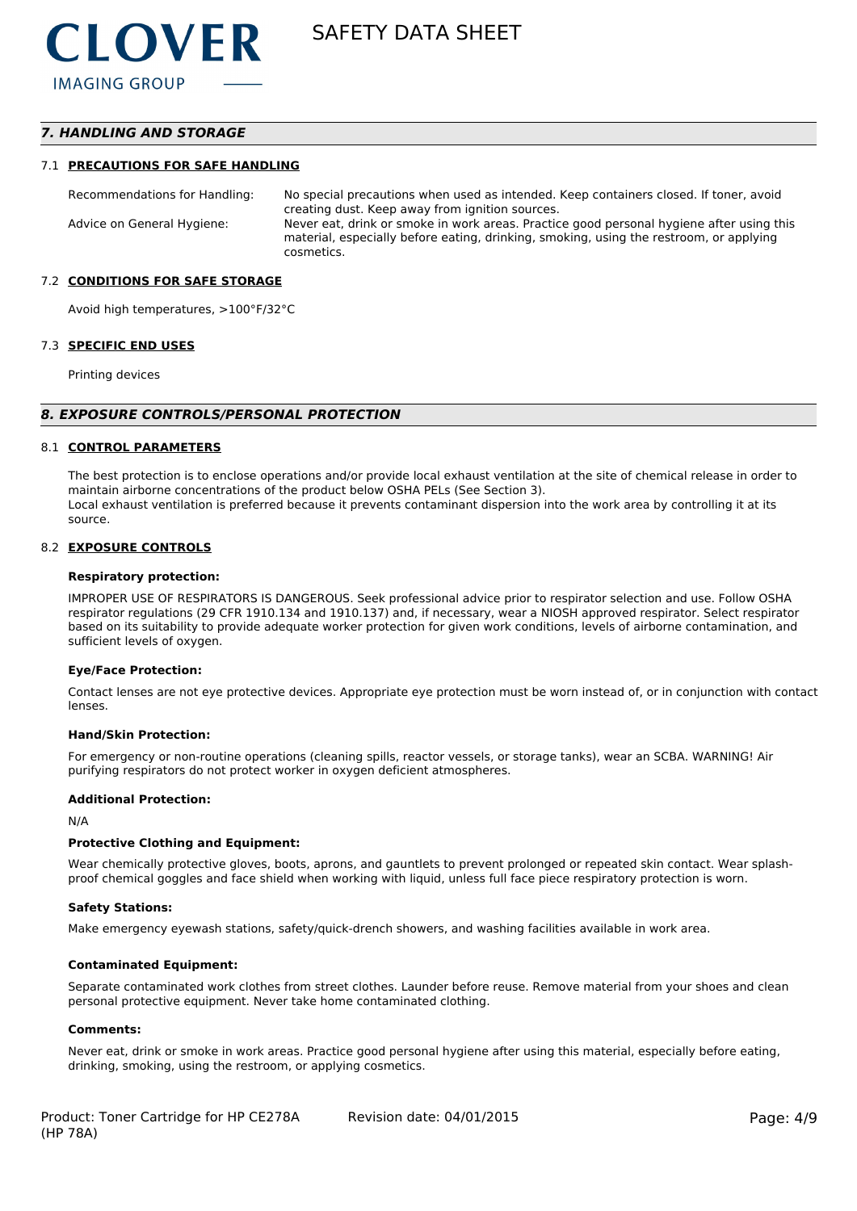# *7. HANDLING AND STORAGE*

#### 7.1 **PRECAUTIONS FOR SAFE HANDLING**

Recommendations for Handling: No special precautions when used as intended. Keep containers closed. If toner, avoid creating dust. Keep away from ignition sources. Advice on General Hygiene: Never eat, drink or smoke in work areas. Practice good personal hygiene after using this material, especially before eating, drinking, smoking, using the restroom, or applying cosmetics.

#### 7.2 **CONDITIONS FOR SAFE STORAGE**

Avoid high temperatures, >100°F/32°C

#### 7.3 **SPECIFIC END USES**

Printing devices

#### *8. EXPOSURE CONTROLS/PERSONAL PROTECTION*

#### 8.1 **CONTROL PARAMETERS**

The best protection is to enclose operations and/or provide local exhaust ventilation at the site of chemical release in order to maintain airborne concentrations of the product below OSHA PELs (See Section 3). Local exhaust ventilation is preferred because it prevents contaminant dispersion into the work area by controlling it at its source.

#### 8.2 **EXPOSURE CONTROLS**

#### **Respiratory protection:**

IMPROPER USE OF RESPIRATORS IS DANGEROUS. Seek professional advice prior to respirator selection and use. Follow OSHA respirator regulations (29 CFR 1910.134 and 1910.137) and, if necessary, wear a NIOSH approved respirator. Select respirator based on its suitability to provide adequate worker protection for given work conditions, levels of airborne contamination, and sufficient levels of oxygen.

#### **Eye/Face Protection:**

Contact lenses are not eye protective devices. Appropriate eye protection must be worn instead of, or in conjunction with contact lenses.

#### **Hand/Skin Protection:**

For emergency or non-routine operations (cleaning spills, reactor vessels, or storage tanks), wear an SCBA. WARNING! Air purifying respirators do not protect worker in oxygen deficient atmospheres.

#### **Additional Protection:**

N/A

#### **Protective Clothing and Equipment:**

Wear chemically protective gloves, boots, aprons, and gauntlets to prevent prolonged or repeated skin contact. Wear splashproof chemical goggles and face shield when working with liquid, unless full face piece respiratory protection is worn.

#### **Safety Stations:**

Make emergency eyewash stations, safety/quick-drench showers, and washing facilities available in work area.

#### **Contaminated Equipment:**

Separate contaminated work clothes from street clothes. Launder before reuse. Remove material from your shoes and clean personal protective equipment. Never take home contaminated clothing.

#### **Comments:**

Never eat, drink or smoke in work areas. Practice good personal hygiene after using this material, especially before eating, drinking, smoking, using the restroom, or applying cosmetics.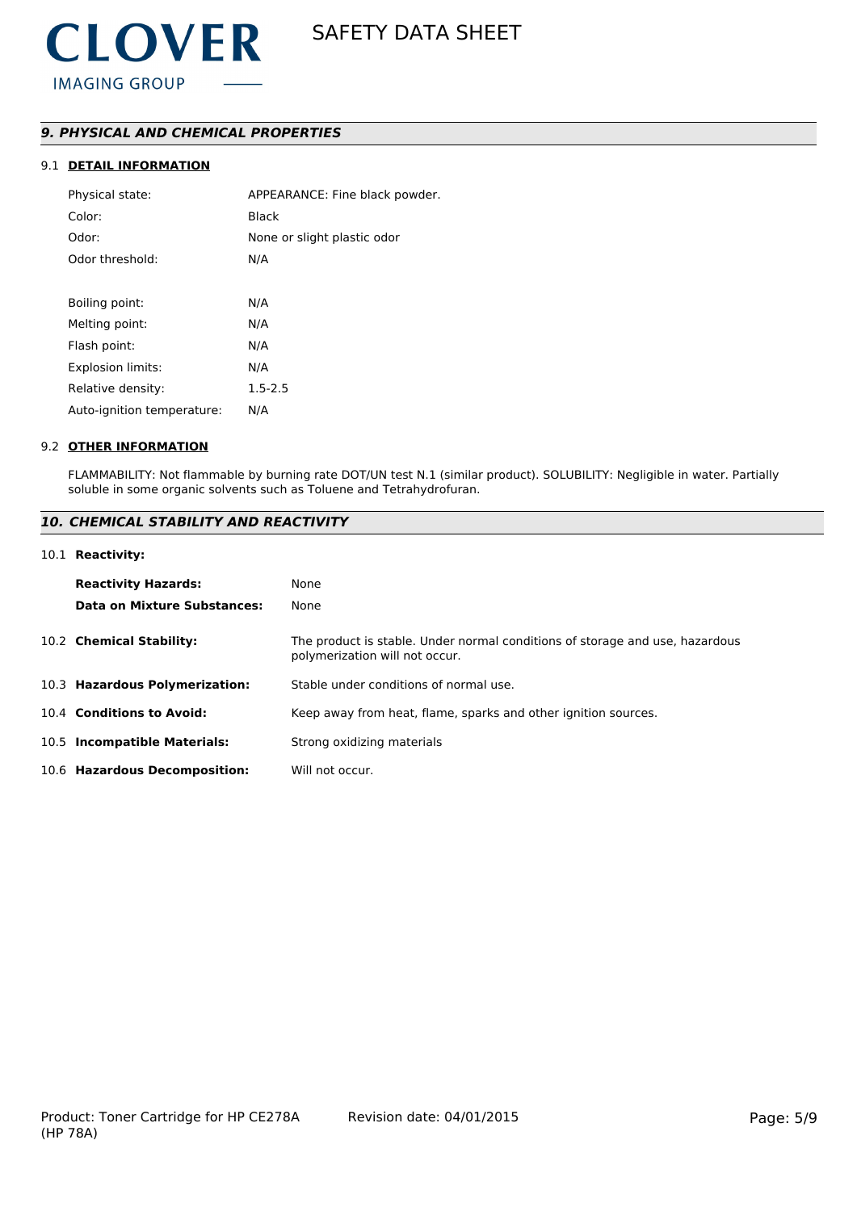# *9. PHYSICAL AND CHEMICAL PROPERTIES*

# 9.1 **DETAIL INFORMATION**

| Physical state:            | APPEARANCE: Fine black powder. |
|----------------------------|--------------------------------|
| Color:                     | Black                          |
| Odor:                      | None or slight plastic odor    |
| Odor threshold:            | N/A                            |
|                            |                                |
| Boiling point:             | N/A                            |
| Melting point:             | N/A                            |
| Flash point:               | N/A                            |
| <b>Explosion limits:</b>   | N/A                            |
| Relative density:          | $1.5 - 2.5$                    |
| Auto-ignition temperature: | N/A                            |
|                            |                                |

#### 9.2 **OTHER INFORMATION**

FLAMMABILITY: Not flammable by burning rate DOT/UN test N.1 (similar product). SOLUBILITY: Negligible in water. Partially soluble in some organic solvents such as Toluene and Tetrahydrofuran.

# *10. CHEMICAL STABILITY AND REACTIVITY*

#### 10.1 **Reactivity:**

| <b>Reactivity Hazards:</b>     | None                                                                                                           |
|--------------------------------|----------------------------------------------------------------------------------------------------------------|
| Data on Mixture Substances:    | None                                                                                                           |
| 10.2 Chemical Stability:       | The product is stable. Under normal conditions of storage and use, hazardous<br>polymerization will not occur. |
| 10.3 Hazardous Polymerization: | Stable under conditions of normal use.                                                                         |
| 10.4 Conditions to Avoid:      | Keep away from heat, flame, sparks and other ignition sources.                                                 |
| 10.5 Incompatible Materials:   | Strong oxidizing materials                                                                                     |
| 10.6 Hazardous Decomposition:  | Will not occur.                                                                                                |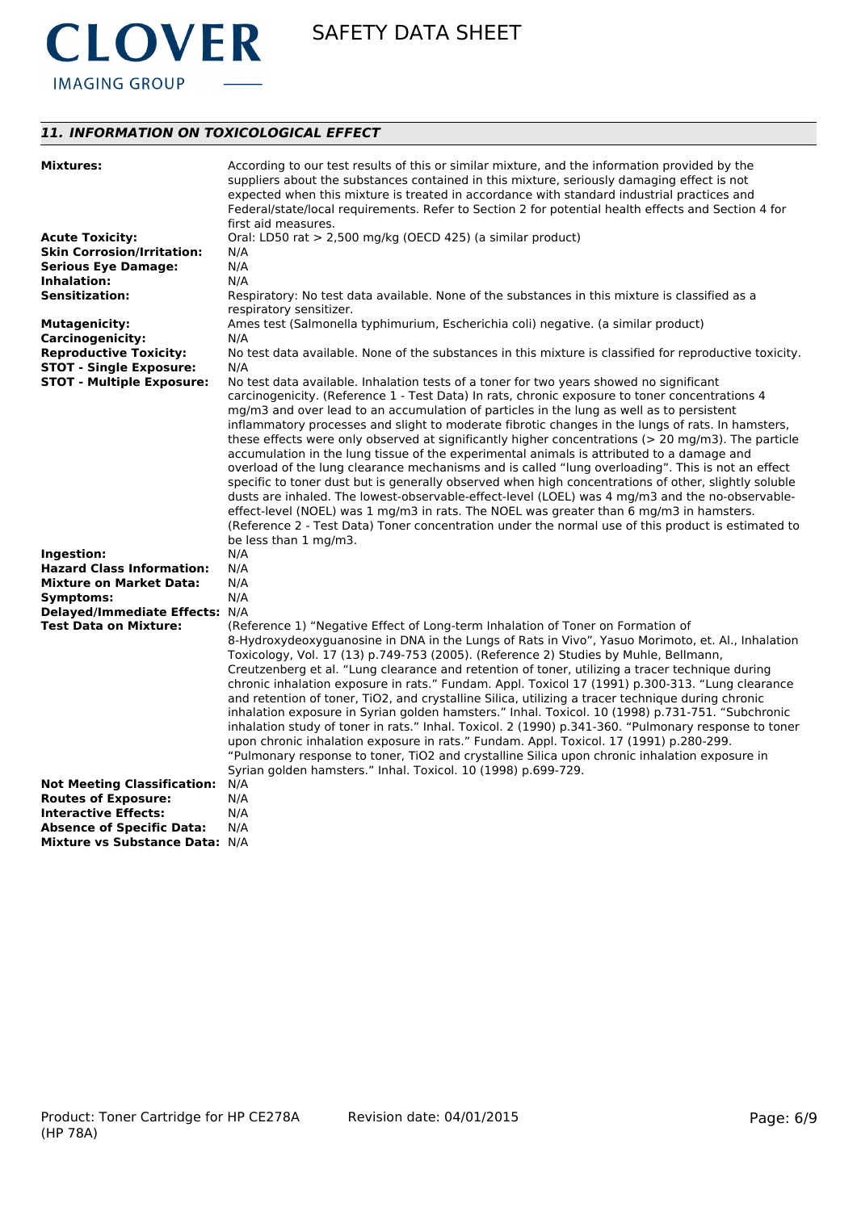

# *11. INFORMATION ON TOXICOLOGICAL EFFECT*

| <b>Mixtures:</b>                                | According to our test results of this or similar mixture, and the information provided by the<br>suppliers about the substances contained in this mixture, seriously damaging effect is not<br>expected when this mixture is treated in accordance with standard industrial practices and<br>Federal/state/local requirements. Refer to Section 2 for potential health effects and Section 4 for<br>first aid measures.                                                                                                                                                                                                                                                                                                                                                                                                                                                                                                                                                                                                                                          |
|-------------------------------------------------|------------------------------------------------------------------------------------------------------------------------------------------------------------------------------------------------------------------------------------------------------------------------------------------------------------------------------------------------------------------------------------------------------------------------------------------------------------------------------------------------------------------------------------------------------------------------------------------------------------------------------------------------------------------------------------------------------------------------------------------------------------------------------------------------------------------------------------------------------------------------------------------------------------------------------------------------------------------------------------------------------------------------------------------------------------------|
| <b>Acute Toxicity:</b>                          | Oral: LD50 rat > 2,500 mg/kg (OECD 425) (a similar product)                                                                                                                                                                                                                                                                                                                                                                                                                                                                                                                                                                                                                                                                                                                                                                                                                                                                                                                                                                                                      |
| <b>Skin Corrosion/Irritation:</b>               | N/A                                                                                                                                                                                                                                                                                                                                                                                                                                                                                                                                                                                                                                                                                                                                                                                                                                                                                                                                                                                                                                                              |
| <b>Serious Eye Damage:</b>                      | N/A                                                                                                                                                                                                                                                                                                                                                                                                                                                                                                                                                                                                                                                                                                                                                                                                                                                                                                                                                                                                                                                              |
| Inhalation:                                     | N/A                                                                                                                                                                                                                                                                                                                                                                                                                                                                                                                                                                                                                                                                                                                                                                                                                                                                                                                                                                                                                                                              |
| <b>Sensitization:</b>                           | Respiratory: No test data available. None of the substances in this mixture is classified as a<br>respiratory sensitizer.                                                                                                                                                                                                                                                                                                                                                                                                                                                                                                                                                                                                                                                                                                                                                                                                                                                                                                                                        |
| <b>Mutagenicity:</b><br><b>Carcinogenicity:</b> | Ames test (Salmonella typhimurium, Escherichia coli) negative. (a similar product)<br>N/A                                                                                                                                                                                                                                                                                                                                                                                                                                                                                                                                                                                                                                                                                                                                                                                                                                                                                                                                                                        |
| <b>Reproductive Toxicity:</b>                   | No test data available. None of the substances in this mixture is classified for reproductive toxicity.                                                                                                                                                                                                                                                                                                                                                                                                                                                                                                                                                                                                                                                                                                                                                                                                                                                                                                                                                          |
| <b>STOT - Single Exposure:</b>                  | N/A                                                                                                                                                                                                                                                                                                                                                                                                                                                                                                                                                                                                                                                                                                                                                                                                                                                                                                                                                                                                                                                              |
| <b>STOT - Multiple Exposure:</b>                | No test data available. Inhalation tests of a toner for two years showed no significant<br>carcinogenicity. (Reference 1 - Test Data) In rats, chronic exposure to toner concentrations 4<br>mg/m3 and over lead to an accumulation of particles in the lung as well as to persistent<br>inflammatory processes and slight to moderate fibrotic changes in the lungs of rats. In hamsters,<br>these effects were only observed at significantly higher concentrations ( $>$ 20 mg/m3). The particle                                                                                                                                                                                                                                                                                                                                                                                                                                                                                                                                                              |
|                                                 | accumulation in the lung tissue of the experimental animals is attributed to a damage and<br>overload of the lung clearance mechanisms and is called "lung overloading". This is not an effect<br>specific to toner dust but is generally observed when high concentrations of other, slightly soluble<br>dusts are inhaled. The lowest-observable-effect-level (LOEL) was 4 mg/m3 and the no-observable-<br>effect-level (NOEL) was 1 mg/m3 in rats. The NOEL was greater than 6 mg/m3 in hamsters.<br>(Reference 2 - Test Data) Toner concentration under the normal use of this product is estimated to<br>be less than 1 mg/m3.                                                                                                                                                                                                                                                                                                                                                                                                                              |
| Ingestion:                                      | N/A                                                                                                                                                                                                                                                                                                                                                                                                                                                                                                                                                                                                                                                                                                                                                                                                                                                                                                                                                                                                                                                              |
| <b>Hazard Class Information:</b>                | N/A                                                                                                                                                                                                                                                                                                                                                                                                                                                                                                                                                                                                                                                                                                                                                                                                                                                                                                                                                                                                                                                              |
| <b>Mixture on Market Data:</b>                  | N/A                                                                                                                                                                                                                                                                                                                                                                                                                                                                                                                                                                                                                                                                                                                                                                                                                                                                                                                                                                                                                                                              |
| Symptoms:                                       | N/A                                                                                                                                                                                                                                                                                                                                                                                                                                                                                                                                                                                                                                                                                                                                                                                                                                                                                                                                                                                                                                                              |
| Delayed/Immediate Effects: N/A                  |                                                                                                                                                                                                                                                                                                                                                                                                                                                                                                                                                                                                                                                                                                                                                                                                                                                                                                                                                                                                                                                                  |
| <b>Test Data on Mixture:</b>                    | (Reference 1) "Negative Effect of Long-term Inhalation of Toner on Formation of<br>8-Hydroxydeoxyguanosine in DNA in the Lungs of Rats in Vivo", Yasuo Morimoto, et. Al., Inhalation<br>Toxicology, Vol. 17 (13) p.749-753 (2005). (Reference 2) Studies by Muhle, Bellmann,<br>Creutzenberg et al. "Lung clearance and retention of toner, utilizing a tracer technique during<br>chronic inhalation exposure in rats." Fundam. Appl. Toxicol 17 (1991) p.300-313. "Lung clearance<br>and retention of toner, TiO2, and crystalline Silica, utilizing a tracer technique during chronic<br>inhalation exposure in Syrian golden hamsters." Inhal. Toxicol. 10 (1998) p.731-751. "Subchronic<br>inhalation study of toner in rats." Inhal. Toxicol. 2 (1990) p.341-360. "Pulmonary response to toner<br>upon chronic inhalation exposure in rats." Fundam. Appl. Toxicol. 17 (1991) p.280-299.<br>"Pulmonary response to toner, TiO2 and crystalline Silica upon chronic inhalation exposure in<br>Syrian golden hamsters." Inhal. Toxicol. 10 (1998) p.699-729. |
| <b>Not Meeting Classification:</b>              | N/A                                                                                                                                                                                                                                                                                                                                                                                                                                                                                                                                                                                                                                                                                                                                                                                                                                                                                                                                                                                                                                                              |
| <b>Routes of Exposure:</b>                      | N/A                                                                                                                                                                                                                                                                                                                                                                                                                                                                                                                                                                                                                                                                                                                                                                                                                                                                                                                                                                                                                                                              |
| <b>Interactive Effects:</b>                     | N/A                                                                                                                                                                                                                                                                                                                                                                                                                                                                                                                                                                                                                                                                                                                                                                                                                                                                                                                                                                                                                                                              |
| <b>Absence of Specific Data:</b>                | N/A                                                                                                                                                                                                                                                                                                                                                                                                                                                                                                                                                                                                                                                                                                                                                                                                                                                                                                                                                                                                                                                              |
| Mixture vs Substance Data: N/A                  |                                                                                                                                                                                                                                                                                                                                                                                                                                                                                                                                                                                                                                                                                                                                                                                                                                                                                                                                                                                                                                                                  |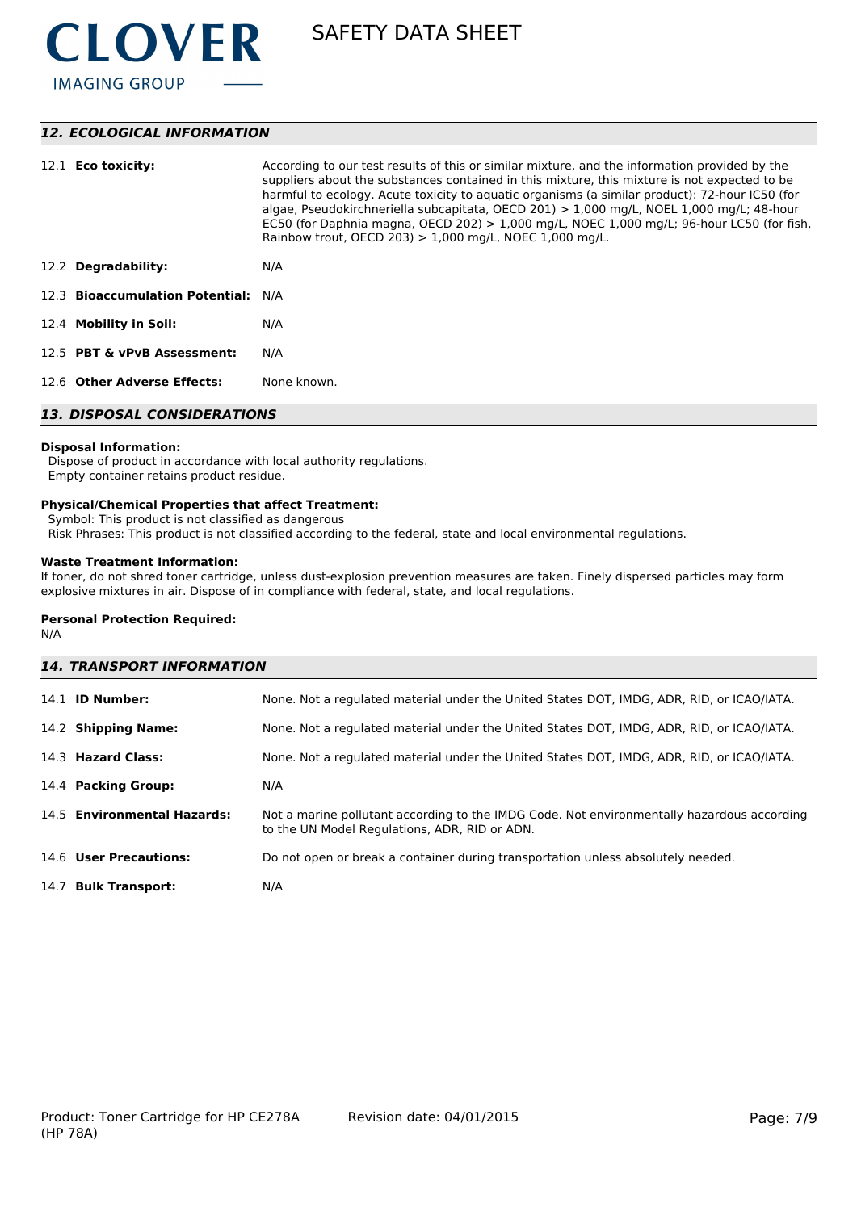

# *12. ECOLOGICAL INFORMATION*

| 12.1 <b>Eco toxicity:</b>           | According to our test results of this or similar mixture, and the information provided by the<br>suppliers about the substances contained in this mixture, this mixture is not expected to be<br>harmful to ecology. Acute toxicity to aguatic organisms (a similar product): 72-hour IC50 (for<br>algae, Pseudokirchneriella subcapitata, OECD 201) $> 1,000$ mg/L, NOEL 1,000 mg/L; 48-hour<br>EC50 (for Daphnia magna, OECD 202) $> 1,000$ mg/L, NOEC 1,000 mg/L; 96-hour LC50 (for fish,<br>Rainbow trout, OECD 203) $> 1,000$ mg/L, NOEC 1,000 mg/L. |  |
|-------------------------------------|-----------------------------------------------------------------------------------------------------------------------------------------------------------------------------------------------------------------------------------------------------------------------------------------------------------------------------------------------------------------------------------------------------------------------------------------------------------------------------------------------------------------------------------------------------------|--|
| 12.2 Degradability:                 | N/A                                                                                                                                                                                                                                                                                                                                                                                                                                                                                                                                                       |  |
| 12.3 Bioaccumulation Potential: N/A |                                                                                                                                                                                                                                                                                                                                                                                                                                                                                                                                                           |  |
| 12.4 Mobility in Soil:              | N/A                                                                                                                                                                                                                                                                                                                                                                                                                                                                                                                                                       |  |
| 12.5 PBT & vPvB Assessment:         | N/A                                                                                                                                                                                                                                                                                                                                                                                                                                                                                                                                                       |  |
| 12.6 Other Adverse Effects:         | None known.                                                                                                                                                                                                                                                                                                                                                                                                                                                                                                                                               |  |
| <b>13. DISPOSAL CONSIDERATIONS</b>  |                                                                                                                                                                                                                                                                                                                                                                                                                                                                                                                                                           |  |

#### **Disposal Information:**

 Dispose of product in accordance with local authority regulations. Empty container retains product residue.

### **Physical/Chemical Properties that affect Treatment:**

Symbol: This product is not classified as dangerous

Risk Phrases: This product is not classified according to the federal, state and local environmental regulations.

# **Waste Treatment Information:**

If toner, do not shred toner cartridge, unless dust-explosion prevention measures are taken. Finely dispersed particles may form explosive mixtures in air. Dispose of in compliance with federal, state, and local regulations.

#### **Personal Protection Required:**

N/A

| <b>14. TRANSPORT INFORMATION</b> |                                                                                                                                             |  |
|----------------------------------|---------------------------------------------------------------------------------------------------------------------------------------------|--|
| 14.1 <b>ID Number:</b>           | None. Not a regulated material under the United States DOT, IMDG, ADR, RID, or ICAO/IATA.                                                   |  |
| 14.2 Shipping Name:              | None. Not a regulated material under the United States DOT, IMDG, ADR, RID, or ICAO/IATA.                                                   |  |
| 14.3 Hazard Class:               | None. Not a regulated material under the United States DOT, IMDG, ADR, RID, or ICAO/IATA.                                                   |  |
| 14.4 Packing Group:              | N/A                                                                                                                                         |  |
| 14.5 Environmental Hazards:      | Not a marine pollutant according to the IMDG Code. Not environmentally hazardous according<br>to the UN Model Regulations, ADR, RID or ADN. |  |
| 14.6 User Precautions:           | Do not open or break a container during transportation unless absolutely needed.                                                            |  |
| 14.7 Bulk Transport:             | N/A                                                                                                                                         |  |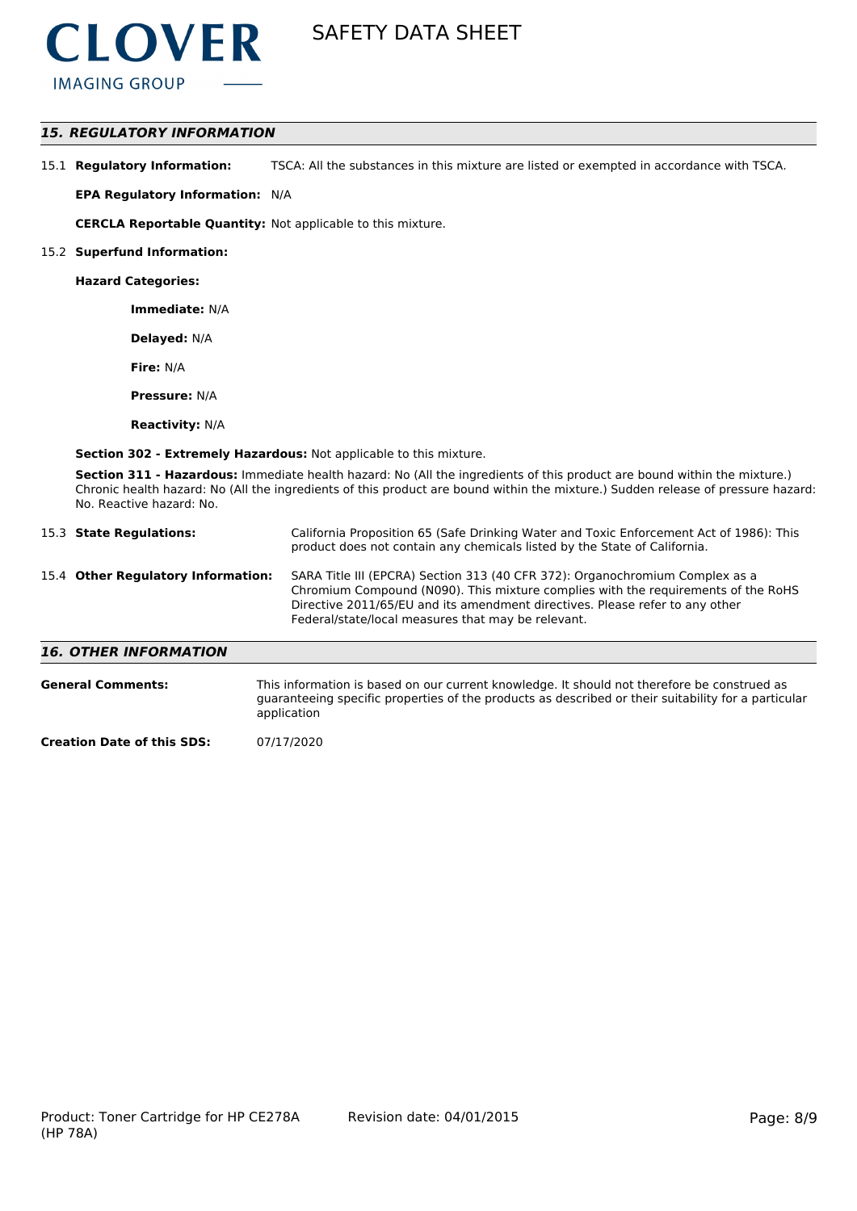

# *15. REGULATORY INFORMATION*

15.1 **Regulatory Information:** TSCA: All the substances in this mixture are listed or exempted in accordance with TSCA.

**EPA Regulatory Information:** N/A

**CERCLA Reportable Quantity:** Not applicable to this mixture.

#### 15.2 **Superfund Information:**

**Hazard Categories:**

**Immediate:** N/A

**Delayed:** N/A

**Fire:** N/A

**Pressure:** N/A

**Reactivity:** N/A

**Section 302 - Extremely Hazardous:** Not applicable to this mixture.

**Section 311 - Hazardous:** Immediate health hazard: No (All the ingredients of this product are bound within the mixture.) Chronic health hazard: No (All the ingredients of this product are bound within the mixture.) Sudden release of pressure hazard: No. Reactive hazard: No.

| 15.3 State Regulations:            | California Proposition 65 (Safe Drinking Water and Toxic Enforcement Act of 1986): This<br>product does not contain any chemicals listed by the State of California.                                                                                                                                    |
|------------------------------------|---------------------------------------------------------------------------------------------------------------------------------------------------------------------------------------------------------------------------------------------------------------------------------------------------------|
| 15.4 Other Regulatory Information: | SARA Title III (EPCRA) Section 313 (40 CFR 372): Organochromium Complex as a<br>Chromium Compound (N090). This mixture complies with the requirements of the RoHS<br>Directive 2011/65/EU and its amendment directives. Please refer to any other<br>Federal/state/local measures that may be relevant. |
| <b>16. OTHER INFORMATION</b>       |                                                                                                                                                                                                                                                                                                         |

| <b>General Comments:</b>          | This information is based on our current knowledge. It should not therefore be construed as<br>quaranteeing specific properties of the products as described or their suitability for a particular<br>application |
|-----------------------------------|-------------------------------------------------------------------------------------------------------------------------------------------------------------------------------------------------------------------|
| <b>Creation Date of this SDS:</b> | 07/17/2020                                                                                                                                                                                                        |